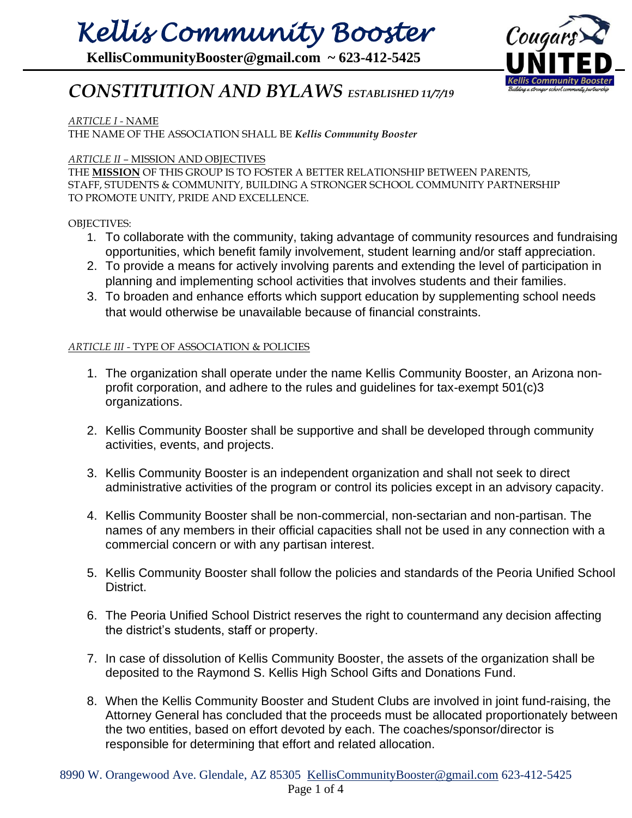# *Kellis Community Booster*

**KellisCommunityBooster@gmail.com ~ 623-412-5425**



### *CONSTITUTION AND BYLAWS ESTABLISHED 11/7/19*

#### *ARTICLE I -* NAME

THE NAME OF THE ASSOCIATION SHALL BE *Kellis Community Booster*

#### *ARTICLE II –* MISSION AND OBJECTIVES

THE **MISSION** OF THIS GROUP IS TO FOSTER A BETTER RELATIONSHIP BETWEEN PARENTS, STAFF, STUDENTS & COMMUNITY, BUILDING A STRONGER SCHOOL COMMUNITY PARTNERSHIP TO PROMOTE UNITY, PRIDE AND EXCELLENCE.

#### OBJECTIVES:

- 1. To collaborate with the community, taking advantage of community resources and fundraising opportunities, which benefit family involvement, student learning and/or staff appreciation.
- 2. To provide a means for actively involving parents and extending the level of participation in planning and implementing school activities that involves students and their families.
- 3. To broaden and enhance efforts which support education by supplementing school needs that would otherwise be unavailable because of financial constraints.

#### *ARTICLE III -* TYPE OF ASSOCIATION & POLICIES

- 1. The organization shall operate under the name Kellis Community Booster, an Arizona nonprofit corporation, and adhere to the rules and guidelines for tax-exempt 501(c)3 organizations.
- 2. Kellis Community Booster shall be supportive and shall be developed through community activities, events, and projects.
- 3. Kellis Community Booster is an independent organization and shall not seek to direct administrative activities of the program or control its policies except in an advisory capacity.
- 4. Kellis Community Booster shall be non-commercial, non-sectarian and non-partisan. The names of any members in their official capacities shall not be used in any connection with a commercial concern or with any partisan interest.
- 5. Kellis Community Booster shall follow the policies and standards of the Peoria Unified School District.
- 6. The Peoria Unified School District reserves the right to countermand any decision affecting the district's students, staff or property.
- 7. In case of dissolution of Kellis Community Booster, the assets of the organization shall be deposited to the Raymond S. Kellis High School Gifts and Donations Fund.
- 8. When the Kellis Community Booster and Student Clubs are involved in joint fund-raising, the Attorney General has concluded that the proceeds must be allocated proportionately between the two entities, based on effort devoted by each. The coaches/sponsor/director is responsible for determining that effort and related allocation.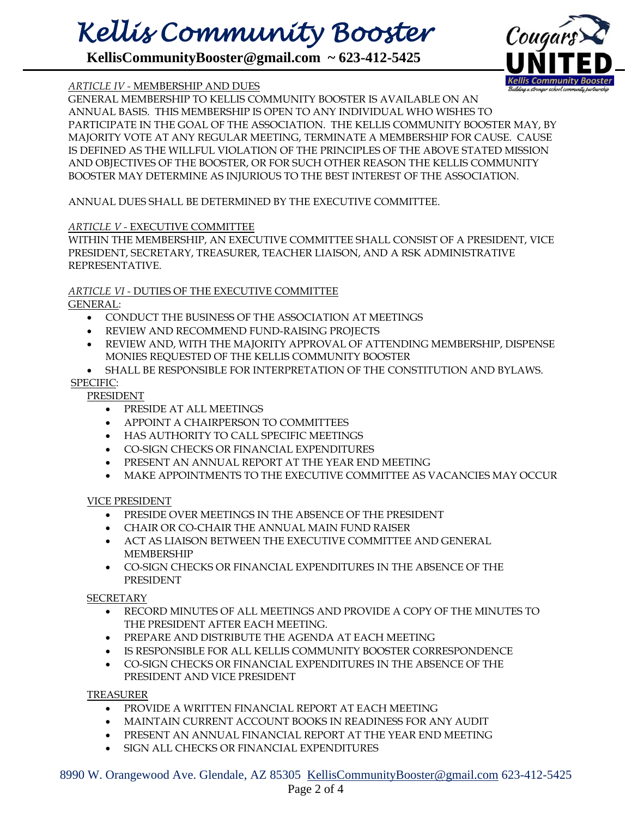### *Kellis Community Booster*

**KellisCommunityBooster@gmail.com ~ 623-412-5425**



#### *ARTICLE IV -* MEMBERSHIP AND DUES

GENERAL MEMBERSHIP TO KELLIS COMMUNITY BOOSTER IS AVAILABLE ON AN ANNUAL BASIS. THIS MEMBERSHIP IS OPEN TO ANY INDIVIDUAL WHO WISHES TO PARTICIPATE IN THE GOAL OF THE ASSOCIATION. THE KELLIS COMMUNITY BOOSTER MAY, BY MAJORITY VOTE AT ANY REGULAR MEETING, TERMINATE A MEMBERSHIP FOR CAUSE. CAUSE IS DEFINED AS THE WILLFUL VIOLATION OF THE PRINCIPLES OF THE ABOVE STATED MISSION AND OBJECTIVES OF THE BOOSTER, OR FOR SUCH OTHER REASON THE KELLIS COMMUNITY BOOSTER MAY DETERMINE AS INJURIOUS TO THE BEST INTEREST OF THE ASSOCIATION.

ANNUAL DUES SHALL BE DETERMINED BY THE EXECUTIVE COMMITTEE.

#### *ARTICLE V -* EXECUTIVE COMMITTEE

WITHIN THE MEMBERSHIP, AN EXECUTIVE COMMITTEE SHALL CONSIST OF A PRESIDENT, VICE PRESIDENT, SECRETARY, TREASURER, TEACHER LIAISON, AND A RSK ADMINISTRATIVE REPRESENTATIVE.

#### *ARTICLE VI -* DUTIES OF THE EXECUTIVE COMMITTEE

GENERAL:

- CONDUCT THE BUSINESS OF THE ASSOCIATION AT MEETINGS
- REVIEW AND RECOMMEND FUND-RAISING PROJECTS
- REVIEW AND, WITH THE MAJORITY APPROVAL OF ATTENDING MEMBERSHIP, DISPENSE MONIES REQUESTED OF THE KELLIS COMMUNITY BOOSTER
- SHALL BE RESPONSIBLE FOR INTERPRETATION OF THE CONSTITUTION AND BYLAWS.

#### SPECIFIC:

#### PRESIDENT

- PRESIDE AT ALL MEETINGS
- APPOINT A CHAIRPERSON TO COMMITTEES
- HAS AUTHORITY TO CALL SPECIFIC MEETINGS
- CO-SIGN CHECKS OR FINANCIAL EXPENDITURES
- PRESENT AN ANNUAL REPORT AT THE YEAR END MEETING
- MAKE APPOINTMENTS TO THE EXECUTIVE COMMITTEE AS VACANCIES MAY OCCUR

VICE PRESIDENT

- PRESIDE OVER MEETINGS IN THE ABSENCE OF THE PRESIDENT
- CHAIR OR CO-CHAIR THE ANNUAL MAIN FUND RAISER
- ACT AS LIAISON BETWEEN THE EXECUTIVE COMMITTEE AND GENERAL MEMBERSHIP
- CO-SIGN CHECKS OR FINANCIAL EXPENDITURES IN THE ABSENCE OF THE PRESIDENT

**SECRETARY** 

- RECORD MINUTES OF ALL MEETINGS AND PROVIDE A COPY OF THE MINUTES TO THE PRESIDENT AFTER EACH MEETING.
- PREPARE AND DISTRIBUTE THE AGENDA AT EACH MEETING
- IS RESPONSIBLE FOR ALL KELLIS COMMUNITY BOOSTER CORRESPONDENCE
- CO-SIGN CHECKS OR FINANCIAL EXPENDITURES IN THE ABSENCE OF THE PRESIDENT AND VICE PRESIDENT

TREASURER

- PROVIDE A WRITTEN FINANCIAL REPORT AT EACH MEETING
- MAINTAIN CURRENT ACCOUNT BOOKS IN READINESS FOR ANY AUDIT
- PRESENT AN ANNUAL FINANCIAL REPORT AT THE YEAR END MEETING
- SIGN ALL CHECKS OR FINANCIAL EXPENDITURES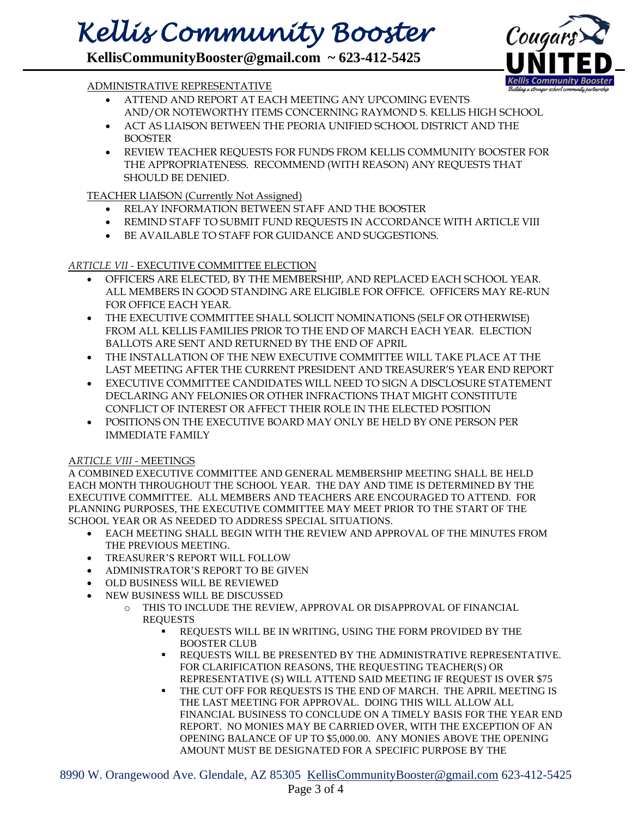## *Kellis Community Booster*

**KellisCommunityBooster@gmail.com ~ 623-412-5425**



#### ADMINISTRATIVE REPRESENTATIVE

- ATTEND AND REPORT AT EACH MEETING ANY UPCOMING EVENTS AND/OR NOTEWORTHY ITEMS CONCERNING RAYMOND S. KELLIS HIGH SCHOOL
- ACT AS LIAISON BETWEEN THE PEORIA UNIFIED SCHOOL DISTRICT AND THE BOOSTER
- REVIEW TEACHER REQUESTS FOR FUNDS FROM KELLIS COMMUNITY BOOSTER FOR THE APPROPRIATENESS. RECOMMEND (WITH REASON) ANY REQUESTS THAT SHOULD BE DENIED.

#### TEACHER LIAISON (Currently Not Assigned)

- RELAY INFORMATION BETWEEN STAFF AND THE BOOSTER
- REMIND STAFF TO SUBMIT FUND REQUESTS IN ACCORDANCE WITH ARTICLE VIII
- BE AVAILABLE TO STAFF FOR GUIDANCE AND SUGGESTIONS.

#### *ARTICLE VII -* EXECUTIVE COMMITTEE ELECTION

- OFFICERS ARE ELECTED, BY THE MEMBERSHIP, AND REPLACED EACH SCHOOL YEAR. ALL MEMBERS IN GOOD STANDING ARE ELIGIBLE FOR OFFICE. OFFICERS MAY RE-RUN FOR OFFICE EACH YEAR.
- THE EXECUTIVE COMMITTEE SHALL SOLICIT NOMINATIONS (SELF OR OTHERWISE) FROM ALL KELLIS FAMILIES PRIOR TO THE END OF MARCH EACH YEAR. ELECTION BALLOTS ARE SENT AND RETURNED BY THE END OF APRIL
- THE INSTALLATION OF THE NEW EXECUTIVE COMMITTEE WILL TAKE PLACE AT THE LAST MEETING AFTER THE CURRENT PRESIDENT AND TREASURER'S YEAR END REPORT
- EXECUTIVE COMMITTEE CANDIDATES WILL NEED TO SIGN A DISCLOSURE STATEMENT DECLARING ANY FELONIES OR OTHER INFRACTIONS THAT MIGHT CONSTITUTE CONFLICT OF INTEREST OR AFFECT THEIR ROLE IN THE ELECTED POSITION
- POSITIONS ON THE EXECUTIVE BOARD MAY ONLY BE HELD BY ONE PERSON PER IMMEDIATE FAMILY

#### A*RTICLE VIII -* MEETINGS

A COMBINED EXECUTIVE COMMITTEE AND GENERAL MEMBERSHIP MEETING SHALL BE HELD EACH MONTH THROUGHOUT THE SCHOOL YEAR. THE DAY AND TIME IS DETERMINED BY THE EXECUTIVE COMMITTEE. ALL MEMBERS AND TEACHERS ARE ENCOURAGED TO ATTEND. FOR PLANNING PURPOSES, THE EXECUTIVE COMMITTEE MAY MEET PRIOR TO THE START OF THE SCHOOL YEAR OR AS NEEDED TO ADDRESS SPECIAL SITUATIONS.

- EACH MEETING SHALL BEGIN WITH THE REVIEW AND APPROVAL OF THE MINUTES FROM THE PREVIOUS MEETING.
- TREASURER'S REPORT WILL FOLLOW
- ADMINISTRATOR'S REPORT TO BE GIVEN
- OLD BUSINESS WILL BE REVIEWED
- NEW BUSINESS WILL BE DISCUSSED
	- o THIS TO INCLUDE THE REVIEW, APPROVAL OR DISAPPROVAL OF FINANCIAL **REQUESTS** 
		- REQUESTS WILL BE IN WRITING, USING THE FORM PROVIDED BY THE BOOSTER CLUB
		- REQUESTS WILL BE PRESENTED BY THE ADMINISTRATIVE REPRESENTATIVE. FOR CLARIFICATION REASONS, THE REQUESTING TEACHER(S) OR REPRESENTATIVE (S) WILL ATTEND SAID MEETING IF REQUEST IS OVER \$75
		- THE CUT OFF FOR REQUESTS IS THE END OF MARCH. THE APRIL MEETING IS THE LAST MEETING FOR APPROVAL. DOING THIS WILL ALLOW ALL FINANCIAL BUSINESS TO CONCLUDE ON A TIMELY BASIS FOR THE YEAR END REPORT. NO MONIES MAY BE CARRIED OVER, WITH THE EXCEPTION OF AN OPENING BALANCE OF UP TO \$5,000.00. ANY MONIES ABOVE THE OPENING AMOUNT MUST BE DESIGNATED FOR A SPECIFIC PURPOSE BY THE

8990 W. Orangewood Ave. Glendale, AZ 85305 [KellisCommunityBooster@gmail.com](mailto:KellisCommunityBooster@gmail.com) 623-412-5425